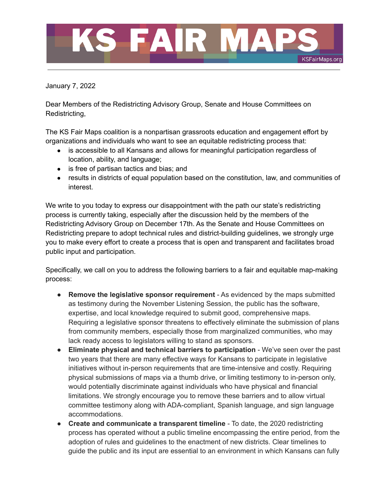

January 7, 2022

Dear Members of the Redistricting Advisory Group, Senate and House Committees on Redistricting,

The KS Fair Maps coalition is a nonpartisan grassroots education and engagement effort by organizations and individuals who want to see an equitable redistricting process that:

- is accessible to all Kansans and allows for meaningful participation regardless of location, ability, and language;
- is free of partisan tactics and bias; and
- results in districts of equal population based on the constitution, law, and communities of interest.

We write to you today to express our disappointment with the path our state's redistricting process is currently taking, especially after the discussion held by the members of the Redistricting Advisory Group on December 17th. As the Senate and House Committees on Redistricting prepare to adopt technical rules and district-building guidelines, we strongly urge you to make every effort to create a process that is open and transparent and facilitates broad public input and participation.

Specifically, we call on you to address the following barriers to a fair and equitable map-making process:

- **● Remove the legislative sponsor requirement** As evidenced by the maps submitted as testimony during the November Listening Session, the public has the software, expertise, and local knowledge required to submit good, comprehensive maps. Requiring a legislative sponsor threatens to effectively eliminate the submission of plans from community members, especially those from marginalized communities, who may lack ready access to legislators willing to stand as sponsors.
- **Eliminate physical and technical barriers to participation** We've seen over the past two years that there are many effective ways for Kansans to participate in legislative initiatives without in-person requirements that are time-intensive and costly. Requiring physical submissions of maps via a thumb drive, or limiting testimony to in-person only, would potentially discriminate against individuals who have physical and financial limitations. We strongly encourage you to remove these barriers and to allow virtual committee testimony along with ADA-compliant, Spanish language, and sign language accommodations.
- **Create and communicate a transparent timeline** To date, the 2020 redistricting process has operated without a public timeline encompassing the entire period, from the adoption of rules and guidelines to the enactment of new districts. Clear timelines to guide the public and its input are essential to an environment in which Kansans can fully